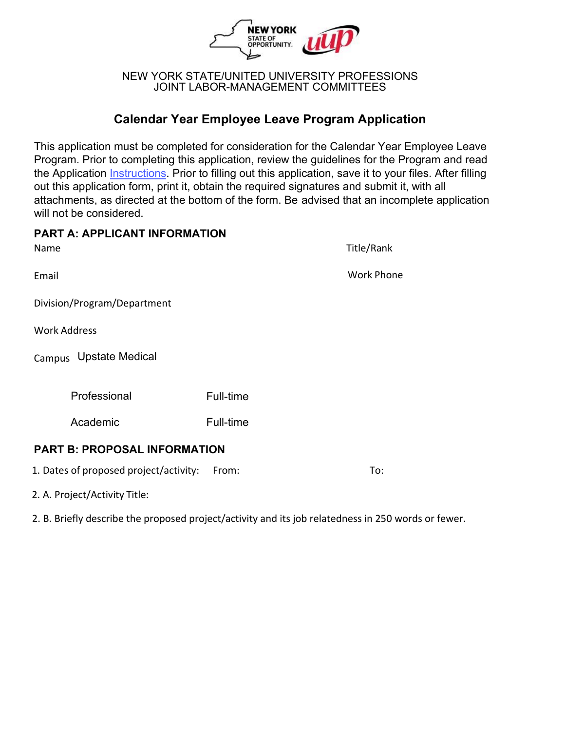

#### NEW YORK STATE/UNITED UNIVERSITY PROFESSIONS JOINT LABOR-MANAGEMENT COMMITTEES

# **Calendar Year Employee Leave Program Application**

This application must be completed for consideration for the Calendar Year Employee Leave Program. Prior to completing this application, review the guidelines for the Program and read [the Applicati](https://nysuup.lmc.ny.gov/resources/application-instructions.html)on [Instructions](https://oer.ny.gov/instructions-completing-fillable-pdf-application). Prior to filling out this application, save it to your files. After filling out this application form, print it, obtain the required signatures and submit it, with all attachments, as directed at the bottom of the form. Be advised that an incomplete application will not be considered.

| <b>PART A: APPLICANT INFORMATION</b>   |           |                   |
|----------------------------------------|-----------|-------------------|
| Name                                   |           | Title/Rank        |
| Email                                  |           | <b>Work Phone</b> |
| Division/Program/Department            |           |                   |
| <b>Work Address</b>                    |           |                   |
| Campus Upstate Medical                 |           |                   |
| Professional                           | Full-time |                   |
| Academic                               | Full-time |                   |
| <b>PART B: PROPOSAL INFORMATION</b>    |           |                   |
| 1. Dates of proposed project/activity: | From:     | To:               |

2. A. Project/Activity Title:

2. B. Briefly describe the proposed project/activity and its job relatedness in 250 words or fewer.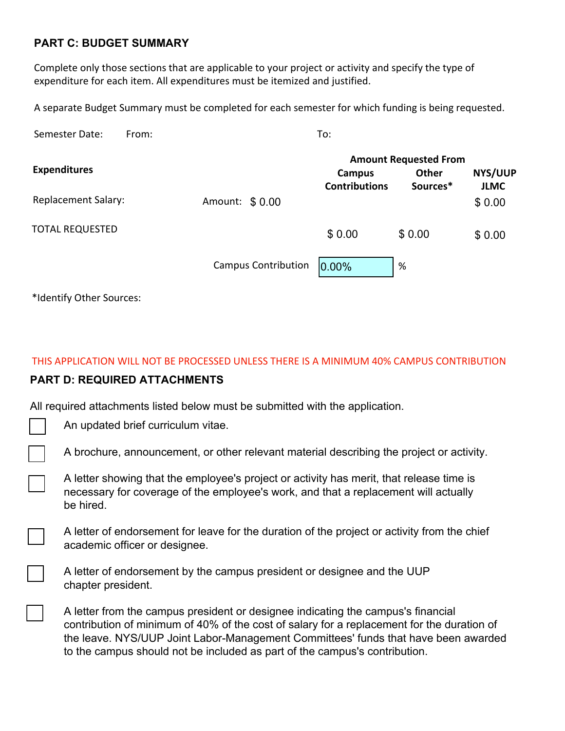## **PART C: BUDGET SUMMARY**

Complete only those sections that are applicable to your project or activity and specify the type of expenditure for each item. All expenditures must be itemized and justified.

A separate Budget Summary must be completed for each semester for which funding is being requested.

| Semester Date:<br>From:    |  | To:            |                            |                                                                          |          |             |  |
|----------------------------|--|----------------|----------------------------|--------------------------------------------------------------------------|----------|-------------|--|
| <b>Expenditures</b>        |  |                |                            | <b>Amount Requested From</b><br><b>NYS/UUP</b><br><b>Other</b><br>Campus |          |             |  |
|                            |  |                |                            | <b>Contributions</b>                                                     | Sources* | <b>JLMC</b> |  |
| <b>Replacement Salary:</b> |  | Amount: \$0.00 |                            |                                                                          |          | \$0.00      |  |
| <b>TOTAL REQUESTED</b>     |  |                |                            | \$0.00                                                                   | \$0.00   | \$0.00      |  |
|                            |  |                | <b>Campus Contribution</b> | $0.00\%$                                                                 | %        |             |  |

\*Identify Other Sources:

## THIS APPLICATION WILL NOT BE PROCESSED UNLESS THERE IS A MINIMUM 40% CAMPUS CONTRIBUTION

## **PART D: REQUIRED ATTACHMENTS**

All required attachments listed below must be submitted with the application.

| An updated brief curriculum vitae. |  |
|------------------------------------|--|
|------------------------------------|--|

A brochure, announcement, or other relevant material describing the project or activity.

A letter showing that the employee's project or activity has merit, that release time is necessary for coverage of the employee's work, and that a replacement will actually be hired.

A letter of endorsement for leave for the duration of the project or activity from the chief academic officer or designee.

A letter of endorsement by the campus president or designee and the UUP chapter president.

A letter from the campus president or designee indicating the campus's financial contribution of minimum of 40% of the cost of salary for a replacement for the duration of the leave. NYS/UUP Joint Labor-Management Committees' funds that have been awarded to the campus should not be included as part of the campus's contribution.